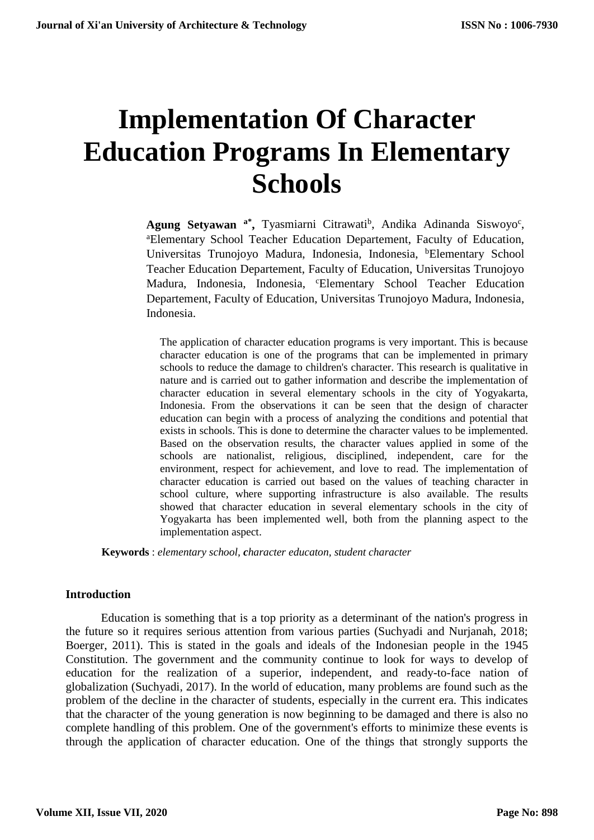# **Implementation Of Character Education Programs In Elementary Schools**

Agung Setyawan <sup>a\*</sup>, Tyasmiarni Citrawati<sup>b</sup>, Andika Adinanda Siswoyo<sup>c</sup>, <sup>a</sup>Elementary School Teacher Education Departement, Faculty of Education, Universitas Trunojoyo Madura, Indonesia, Indonesia, <sup>b</sup>Elementary School Teacher Education Departement, Faculty of Education, Universitas Trunojoyo Madura, Indonesia, Indonesia, <sup>c</sup>Elementary School Teacher Education Departement, Faculty of Education, Universitas Trunojoyo Madura, Indonesia, Indonesia.

The application of character education programs is very important. This is because character education is one of the programs that can be implemented in primary schools to reduce the damage to children's character. This research is qualitative in nature and is carried out to gather information and describe the implementation of character education in several elementary schools in the city of Yogyakarta, Indonesia. From the observations it can be seen that the design of character education can begin with a process of analyzing the conditions and potential that exists in schools. This is done to determine the character values to be implemented. Based on the observation results, the character values applied in some of the schools are nationalist, religious, disciplined, independent, care for the environment, respect for achievement, and love to read. The implementation of character education is carried out based on the values of teaching character in school culture, where supporting infrastructure is also available. The results showed that character education in several elementary schools in the city of Yogyakarta has been implemented well, both from the planning aspect to the implementation aspect.

**Keywords** : *elementary school, character educaton, student character*

#### **Introduction**

Education is something that is a top priority as a determinant of the nation's progress in the future so it requires serious attention from various parties (Suchyadi and Nurjanah, 2018; Boerger, 2011). This is stated in the goals and ideals of the Indonesian people in the 1945 Constitution. The government and the community continue to look for ways to develop of education for the realization of a superior, independent, and ready-to-face nation of globalization (Suchyadi, 2017). In the world of education, many problems are found such as the problem of the decline in the character of students, especially in the current era. This indicates that the character of the young generation is now beginning to be damaged and there is also no complete handling of this problem. One of the government's efforts to minimize these events is through the application of character education. One of the things that strongly supports the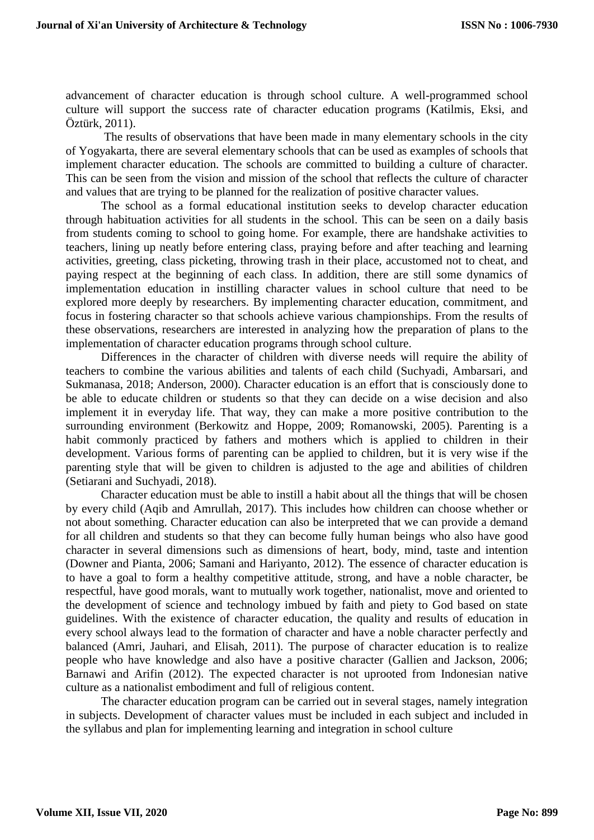advancement of character education is through school culture. A well-programmed school culture will support the success rate of character education programs (Katilmis, Eksi, and Öztürk, 2011).

The results of observations that have been made in many elementary schools in the city of Yogyakarta, there are several elementary schools that can be used as examples of schools that implement character education. The schools are committed to building a culture of character. This can be seen from the vision and mission of the school that reflects the culture of character and values that are trying to be planned for the realization of positive character values.

The school as a formal educational institution seeks to develop character education through habituation activities for all students in the school. This can be seen on a daily basis from students coming to school to going home. For example, there are handshake activities to teachers, lining up neatly before entering class, praying before and after teaching and learning activities, greeting, class picketing, throwing trash in their place, accustomed not to cheat, and paying respect at the beginning of each class. In addition, there are still some dynamics of implementation education in instilling character values in school culture that need to be explored more deeply by researchers. By implementing character education, commitment, and focus in fostering character so that schools achieve various championships. From the results of these observations, researchers are interested in analyzing how the preparation of plans to the implementation of character education programs through school culture.

Differences in the character of children with diverse needs will require the ability of teachers to combine the various abilities and talents of each child (Suchyadi, Ambarsari, and Sukmanasa, 2018; Anderson, 2000). Character education is an effort that is consciously done to be able to educate children or students so that they can decide on a wise decision and also implement it in everyday life. That way, they can make a more positive contribution to the surrounding environment (Berkowitz and Hoppe, 2009; Romanowski, 2005). Parenting is a habit commonly practiced by fathers and mothers which is applied to children in their development. Various forms of parenting can be applied to children, but it is very wise if the parenting style that will be given to children is adjusted to the age and abilities of children (Setiarani and Suchyadi, 2018).

Character education must be able to instill a habit about all the things that will be chosen by every child (Aqib and Amrullah, 2017). This includes how children can choose whether or not about something. Character education can also be interpreted that we can provide a demand for all children and students so that they can become fully human beings who also have good character in several dimensions such as dimensions of heart, body, mind, taste and intention (Downer and Pianta, 2006; Samani and Hariyanto, 2012). The essence of character education is to have a goal to form a healthy competitive attitude, strong, and have a noble character, be respectful, have good morals, want to mutually work together, nationalist, move and oriented to the development of science and technology imbued by faith and piety to God based on state guidelines. With the existence of character education, the quality and results of education in every school always lead to the formation of character and have a noble character perfectly and balanced (Amri, Jauhari, and Elisah, 2011). The purpose of character education is to realize people who have knowledge and also have a positive character (Gallien and Jackson, 2006; Barnawi and Arifin (2012). The expected character is not uprooted from Indonesian native culture as a nationalist embodiment and full of religious content.

The character education program can be carried out in several stages, namely integration in subjects. Development of character values must be included in each subject and included in the syllabus and plan for implementing learning and integration in school culture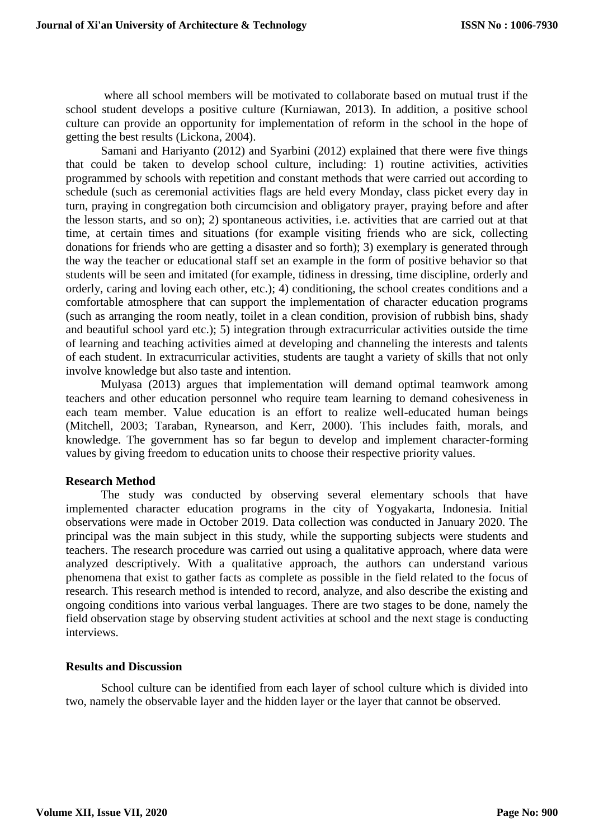where all school members will be motivated to collaborate based on mutual trust if the school student develops a positive culture (Kurniawan, 2013). In addition, a positive school culture can provide an opportunity for implementation of reform in the school in the hope of getting the best results (Lickona, 2004).

Samani and Hariyanto (2012) and Syarbini (2012) explained that there were five things that could be taken to develop school culture, including: 1) routine activities, activities programmed by schools with repetition and constant methods that were carried out according to schedule (such as ceremonial activities flags are held every Monday, class picket every day in turn, praying in congregation both circumcision and obligatory prayer, praying before and after the lesson starts, and so on); 2) spontaneous activities, i.e. activities that are carried out at that time, at certain times and situations (for example visiting friends who are sick, collecting donations for friends who are getting a disaster and so forth); 3) exemplary is generated through the way the teacher or educational staff set an example in the form of positive behavior so that students will be seen and imitated (for example, tidiness in dressing, time discipline, orderly and orderly, caring and loving each other, etc.); 4) conditioning, the school creates conditions and a comfortable atmosphere that can support the implementation of character education programs (such as arranging the room neatly, toilet in a clean condition, provision of rubbish bins, shady and beautiful school yard etc.); 5) integration through extracurricular activities outside the time of learning and teaching activities aimed at developing and channeling the interests and talents of each student. In extracurricular activities, students are taught a variety of skills that not only involve knowledge but also taste and intention.

Mulyasa (2013) argues that implementation will demand optimal teamwork among teachers and other education personnel who require team learning to demand cohesiveness in each team member. Value education is an effort to realize well-educated human beings (Mitchell, 2003; Taraban, Rynearson, and Kerr, 2000). This includes faith, morals, and knowledge. The government has so far begun to develop and implement character-forming values by giving freedom to education units to choose their respective priority values.

# **Research Method**

The study was conducted by observing several elementary schools that have implemented character education programs in the city of Yogyakarta, Indonesia. Initial observations were made in October 2019. Data collection was conducted in January 2020. The principal was the main subject in this study, while the supporting subjects were students and teachers. The research procedure was carried out using a qualitative approach, where data were analyzed descriptively. With a qualitative approach, the authors can understand various phenomena that exist to gather facts as complete as possible in the field related to the focus of research. This research method is intended to record, analyze, and also describe the existing and ongoing conditions into various verbal languages. There are two stages to be done, namely the field observation stage by observing student activities at school and the next stage is conducting interviews.

# **Results and Discussion**

School culture can be identified from each layer of school culture which is divided into two, namely the observable layer and the hidden layer or the layer that cannot be observed.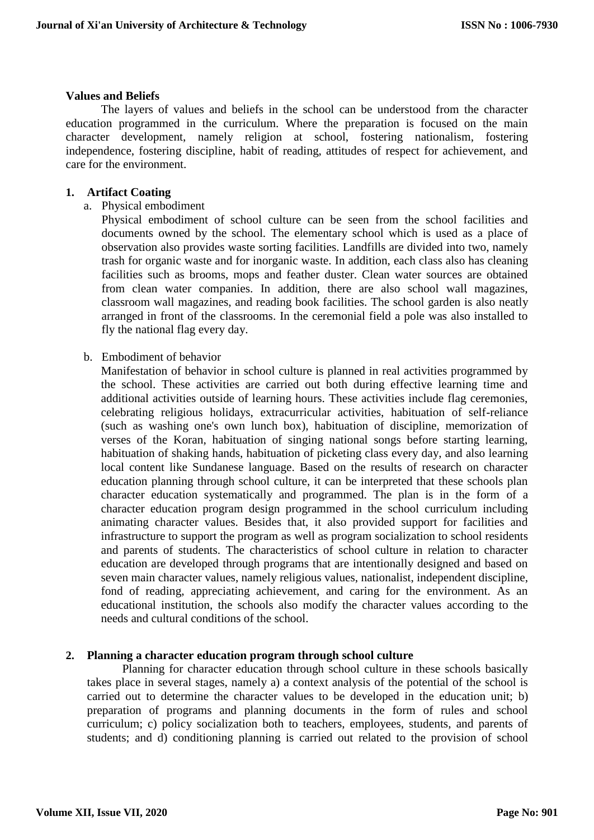# **Values and Beliefs**

The layers of values and beliefs in the school can be understood from the character education programmed in the curriculum. Where the preparation is focused on the main character development, namely religion at school, fostering nationalism, fostering independence, fostering discipline, habit of reading, attitudes of respect for achievement, and care for the environment.

# **1. Artifact Coating**

a. Physical embodiment

Physical embodiment of school culture can be seen from the school facilities and documents owned by the school. The elementary school which is used as a place of observation also provides waste sorting facilities. Landfills are divided into two, namely trash for organic waste and for inorganic waste. In addition, each class also has cleaning facilities such as brooms, mops and feather duster. Clean water sources are obtained from clean water companies. In addition, there are also school wall magazines, classroom wall magazines, and reading book facilities. The school garden is also neatly arranged in front of the classrooms. In the ceremonial field a pole was also installed to fly the national flag every day.

b. Embodiment of behavior

Manifestation of behavior in school culture is planned in real activities programmed by the school. These activities are carried out both during effective learning time and additional activities outside of learning hours. These activities include flag ceremonies, celebrating religious holidays, extracurricular activities, habituation of self-reliance (such as washing one's own lunch box), habituation of discipline, memorization of verses of the Koran, habituation of singing national songs before starting learning, habituation of shaking hands, habituation of picketing class every day, and also learning local content like Sundanese language. Based on the results of research on character education planning through school culture, it can be interpreted that these schools plan character education systematically and programmed. The plan is in the form of a character education program design programmed in the school curriculum including animating character values. Besides that, it also provided support for facilities and infrastructure to support the program as well as program socialization to school residents and parents of students. The characteristics of school culture in relation to character education are developed through programs that are intentionally designed and based on seven main character values, namely religious values, nationalist, independent discipline, fond of reading, appreciating achievement, and caring for the environment. As an educational institution, the schools also modify the character values according to the needs and cultural conditions of the school.

# **2. Planning a character education program through school culture**

Planning for character education through school culture in these schools basically takes place in several stages, namely a) a context analysis of the potential of the school is carried out to determine the character values to be developed in the education unit; b) preparation of programs and planning documents in the form of rules and school curriculum; c) policy socialization both to teachers, employees, students, and parents of students; and d) conditioning planning is carried out related to the provision of school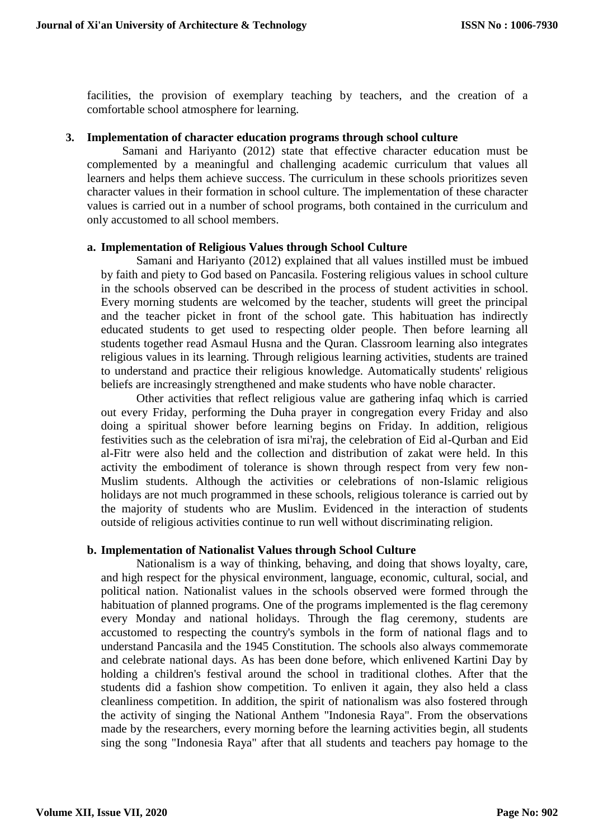facilities, the provision of exemplary teaching by teachers, and the creation of a comfortable school atmosphere for learning.

# **3. Implementation of character education programs through school culture**

Samani and Hariyanto (2012) state that effective character education must be complemented by a meaningful and challenging academic curriculum that values all learners and helps them achieve success. The curriculum in these schools prioritizes seven character values in their formation in school culture. The implementation of these character values is carried out in a number of school programs, both contained in the curriculum and only accustomed to all school members.

# **a. Implementation of Religious Values through School Culture**

Samani and Hariyanto (2012) explained that all values instilled must be imbued by faith and piety to God based on Pancasila. Fostering religious values in school culture in the schools observed can be described in the process of student activities in school. Every morning students are welcomed by the teacher, students will greet the principal and the teacher picket in front of the school gate. This habituation has indirectly educated students to get used to respecting older people. Then before learning all students together read Asmaul Husna and the Quran. Classroom learning also integrates religious values in its learning. Through religious learning activities, students are trained to understand and practice their religious knowledge. Automatically students' religious beliefs are increasingly strengthened and make students who have noble character.

Other activities that reflect religious value are gathering infaq which is carried out every Friday, performing the Duha prayer in congregation every Friday and also doing a spiritual shower before learning begins on Friday. In addition, religious festivities such as the celebration of isra mi'raj, the celebration of Eid al-Qurban and Eid al-Fitr were also held and the collection and distribution of zakat were held. In this activity the embodiment of tolerance is shown through respect from very few non-Muslim students. Although the activities or celebrations of non-Islamic religious holidays are not much programmed in these schools, religious tolerance is carried out by the majority of students who are Muslim. Evidenced in the interaction of students outside of religious activities continue to run well without discriminating religion.

# **b. Implementation of Nationalist Values through School Culture**

Nationalism is a way of thinking, behaving, and doing that shows loyalty, care, and high respect for the physical environment, language, economic, cultural, social, and political nation. Nationalist values in the schools observed were formed through the habituation of planned programs. One of the programs implemented is the flag ceremony every Monday and national holidays. Through the flag ceremony, students are accustomed to respecting the country's symbols in the form of national flags and to understand Pancasila and the 1945 Constitution. The schools also always commemorate and celebrate national days. As has been done before, which enlivened Kartini Day by holding a children's festival around the school in traditional clothes. After that the students did a fashion show competition. To enliven it again, they also held a class cleanliness competition. In addition, the spirit of nationalism was also fostered through the activity of singing the National Anthem "Indonesia Raya". From the observations made by the researchers, every morning before the learning activities begin, all students sing the song "Indonesia Raya" after that all students and teachers pay homage to the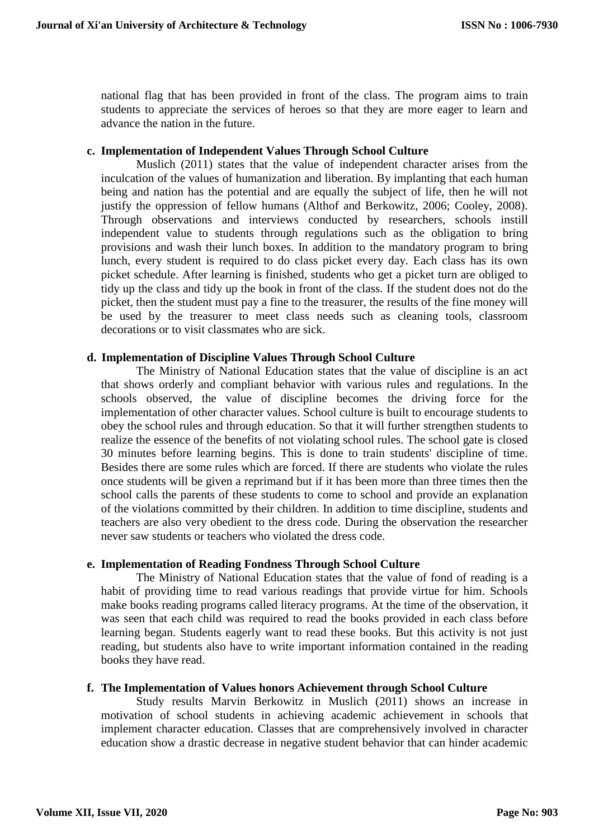national flag that has been provided in front of the class. The program aims to train students to appreciate the services of heroes so that they are more eager to learn and advance the nation in the future.

#### **c. Implementation of Independent Values Through School Culture**

Muslich (2011) states that the value of independent character arises from the inculcation of the values of humanization and liberation. By implanting that each human being and nation has the potential and are equally the subject of life, then he will not justify the oppression of fellow humans (Althof and Berkowitz, 2006; Cooley, 2008). Through observations and interviews conducted by researchers, schools instill independent value to students through regulations such as the obligation to bring provisions and wash their lunch boxes. In addition to the mandatory program to bring lunch, every student is required to do class picket every day. Each class has its own picket schedule. After learning is finished, students who get a picket turn are obliged to tidy up the class and tidy up the book in front of the class. If the student does not do the picket, then the student must pay a fine to the treasurer, the results of the fine money will be used by the treasurer to meet class needs such as cleaning tools, classroom decorations or to visit classmates who are sick.

# **d. Implementation of Discipline Values Through School Culture**

The Ministry of National Education states that the value of discipline is an act that shows orderly and compliant behavior with various rules and regulations. In the schools observed, the value of discipline becomes the driving force for the implementation of other character values. School culture is built to encourage students to obey the school rules and through education. So that it will further strengthen students to realize the essence of the benefits of not violating school rules. The school gate is closed 30 minutes before learning begins. This is done to train students' discipline of time. Besides there are some rules which are forced. If there are students who violate the rules once students will be given a reprimand but if it has been more than three times then the school calls the parents of these students to come to school and provide an explanation of the violations committed by their children. In addition to time discipline, students and teachers are also very obedient to the dress code. During the observation the researcher never saw students or teachers who violated the dress code.

# **e. Implementation of Reading Fondness Through School Culture**

The Ministry of National Education states that the value of fond of reading is a habit of providing time to read various readings that provide virtue for him. Schools make books reading programs called literacy programs. At the time of the observation, it was seen that each child was required to read the books provided in each class before learning began. Students eagerly want to read these books. But this activity is not just reading, but students also have to write important information contained in the reading books they have read.

# **f. The Implementation of Values honors Achievement through School Culture**

Study results Marvin Berkowitz in Muslich (2011) shows an increase in motivation of school students in achieving academic achievement in schools that implement character education. Classes that are comprehensively involved in character education show a drastic decrease in negative student behavior that can hinder academic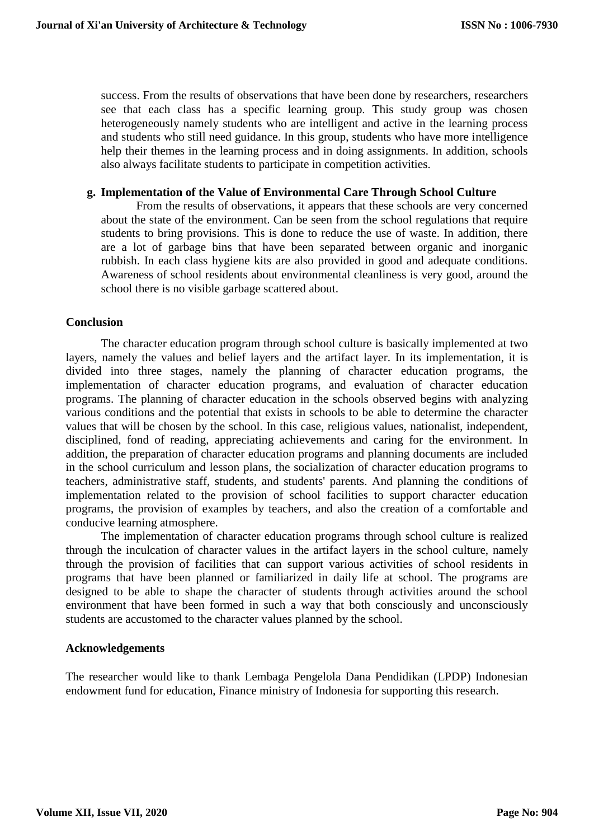success. From the results of observations that have been done by researchers, researchers see that each class has a specific learning group. This study group was chosen heterogeneously namely students who are intelligent and active in the learning process and students who still need guidance. In this group, students who have more intelligence help their themes in the learning process and in doing assignments. In addition, schools also always facilitate students to participate in competition activities.

#### **g. Implementation of the Value of Environmental Care Through School Culture**

From the results of observations, it appears that these schools are very concerned about the state of the environment. Can be seen from the school regulations that require students to bring provisions. This is done to reduce the use of waste. In addition, there are a lot of garbage bins that have been separated between organic and inorganic rubbish. In each class hygiene kits are also provided in good and adequate conditions. Awareness of school residents about environmental cleanliness is very good, around the school there is no visible garbage scattered about.

#### **Conclusion**

The character education program through school culture is basically implemented at two layers, namely the values and belief layers and the artifact layer. In its implementation, it is divided into three stages, namely the planning of character education programs, the implementation of character education programs, and evaluation of character education programs. The planning of character education in the schools observed begins with analyzing various conditions and the potential that exists in schools to be able to determine the character values that will be chosen by the school. In this case, religious values, nationalist, independent, disciplined, fond of reading, appreciating achievements and caring for the environment. In addition, the preparation of character education programs and planning documents are included in the school curriculum and lesson plans, the socialization of character education programs to teachers, administrative staff, students, and students' parents. And planning the conditions of implementation related to the provision of school facilities to support character education programs, the provision of examples by teachers, and also the creation of a comfortable and conducive learning atmosphere.

The implementation of character education programs through school culture is realized through the inculcation of character values in the artifact layers in the school culture, namely through the provision of facilities that can support various activities of school residents in programs that have been planned or familiarized in daily life at school. The programs are designed to be able to shape the character of students through activities around the school environment that have been formed in such a way that both consciously and unconsciously students are accustomed to the character values planned by the school.

#### **Acknowledgements**

The researcher would like to thank Lembaga Pengelola Dana Pendidikan (LPDP) Indonesian endowment fund for education, Finance ministry of Indonesia for supporting this research.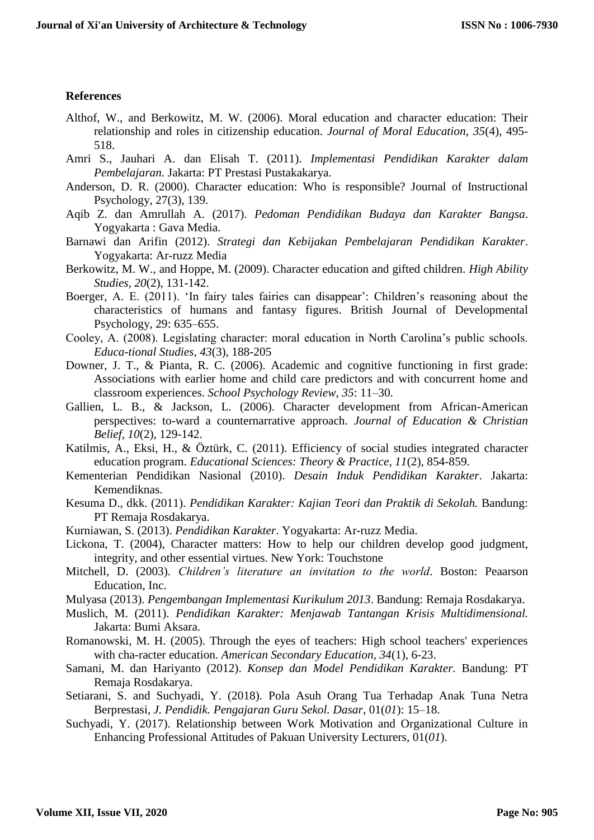#### **References**

- Althof, W., and Berkowitz, M. W. (2006). Moral education and character education: Their relationship and roles in citizenship education. *Journal of Moral Education, 35*(4), 495- 518.
- Amri S., Jauhari A. dan Elisah T. (2011). *Implementasi Pendidikan Karakter dalam Pembelajaran.* Jakarta: PT Prestasi Pustakakarya.
- Anderson, D. R. (2000). Character education: Who is responsible? Journal of Instructional Psychology, 27(3), 139.
- Aqib Z. dan Amrullah A. (2017). *Pedoman Pendidikan Budaya dan Karakter Bangsa*. Yogyakarta : Gava Media.
- Barnawi dan Arifin (2012). *Strategi dan Kebijakan Pembelajaran Pendidikan Karakter*. Yogyakarta: Ar-ruzz Media
- Berkowitz, M. W., and Hoppe, M. (2009). Character education and gifted children. *High Ability Studies, 20*(2), 131-142.
- Boerger, A. E. (2011). 'In fairy tales fairies can disappear': Children's reasoning about the characteristics of humans and fantasy figures. British Journal of Developmental Psychology, 29: 635–655.
- Cooley, A. (2008). Legislating character: moral education in North Carolina's public schools. *Educa-tional Studies, 43*(3), 188-205
- Downer, J. T., & Pianta, R. C. (2006). Academic and cognitive functioning in first grade: Associations with earlier home and child care predictors and with concurrent home and classroom experiences. *School Psychology Review, 35*: 11–30.
- Gallien, L. B., & Jackson, L. (2006). Character development from African-American perspectives: to-ward a counternarrative approach. *Journal of Education & Christian Belief, 10*(2), 129-142.
- Katilmis, A., Eksi, H., & Öztürk, C. (2011). Efficiency of social studies integrated character education program. *Educational Sciences: Theory & Practice, 11*(2), 854-859.
- Kementerian Pendidikan Nasional (2010). *Desain Induk Pendidikan Karakter*. Jakarta: Kemendiknas.
- Kesuma D., dkk. (2011). *Pendidikan Karakter: Kajian Teori dan Praktik di Sekolah.* Bandung: PT Remaja Rosdakarya.
- Kurniawan, S. (2013). *Pendidikan Karakter*. Yogyakarta: Ar-ruzz Media.
- Lickona, T. (2004), Character matters: How to help our children develop good judgment, integrity, and other essential virtues. New York: Touchstone
- Mitchell, D. (2003). *Children's literature an invitation to the world*. Boston: Peaarson Education, Inc.
- Mulyasa (2013). *Pengembangan Implementasi Kurikulum 2013*. Bandung: Remaja Rosdakarya.
- Muslich, M. (2011). *Pendidikan Karakter: Menjawab Tantangan Krisis Multidimensional.*  Jakarta: Bumi Aksara.
- Romanowski, M. H. (2005). Through the eyes of teachers: High school teachers' experiences with cha-racter education. *American Secondary Education, 34*(1), 6-23.
- Samani, M. dan Hariyanto (2012). *Konsep dan Model Pendidikan Karakter.* Bandung: PT Remaja Rosdakarya.
- Setiarani, S. and Suchyadi, Y. (2018). Pola Asuh Orang Tua Terhadap Anak Tuna Netra Berprestasi, *J. Pendidik. Pengajaran Guru Sekol. Dasar*, 01(*01*): 15–18.
- Suchyadi, Y. (2017). Relationship between Work Motivation and Organizational Culture in Enhancing Professional Attitudes of Pakuan University Lecturers, 01(*01*).